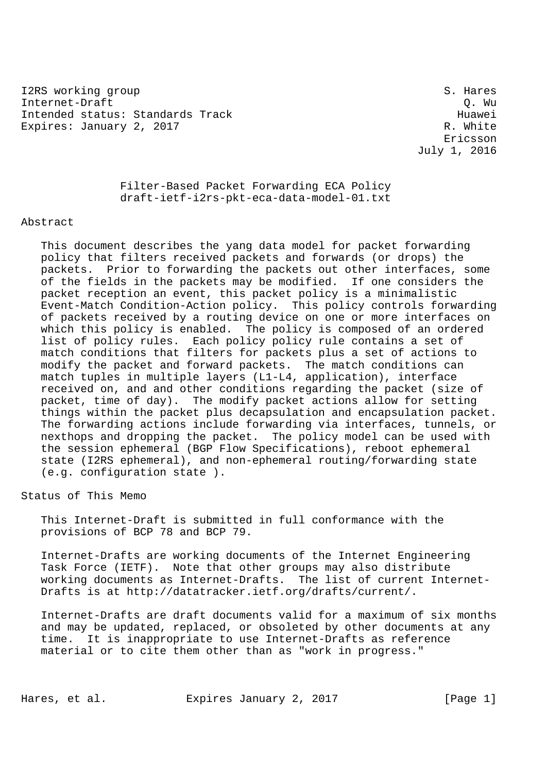I2RS working group states and states and states of the states of the states of the states of the states of the states of the states of the states of the states of the states of the states of the states of the states of the Internet-Draft Q. Wu Intended status: Standards Track Huawei Expires: January 2, 2017 R. White

 Ericsson July 1, 2016

> Filter-Based Packet Forwarding ECA Policy draft-ietf-i2rs-pkt-eca-data-model-01.txt

## Abstract

 This document describes the yang data model for packet forwarding policy that filters received packets and forwards (or drops) the packets. Prior to forwarding the packets out other interfaces, some of the fields in the packets may be modified. If one considers the packet reception an event, this packet policy is a minimalistic Event-Match Condition-Action policy. This policy controls forwarding of packets received by a routing device on one or more interfaces on which this policy is enabled. The policy is composed of an ordered list of policy rules. Each policy policy rule contains a set of match conditions that filters for packets plus a set of actions to modify the packet and forward packets. The match conditions can match tuples in multiple layers (L1-L4, application), interface received on, and and other conditions regarding the packet (size of packet, time of day). The modify packet actions allow for setting things within the packet plus decapsulation and encapsulation packet. The forwarding actions include forwarding via interfaces, tunnels, or nexthops and dropping the packet. The policy model can be used with the session ephemeral (BGP Flow Specifications), reboot ephemeral state (I2RS ephemeral), and non-ephemeral routing/forwarding state (e.g. configuration state ).

Status of This Memo

 This Internet-Draft is submitted in full conformance with the provisions of BCP 78 and BCP 79.

 Internet-Drafts are working documents of the Internet Engineering Task Force (IETF). Note that other groups may also distribute working documents as Internet-Drafts. The list of current Internet- Drafts is at http://datatracker.ietf.org/drafts/current/.

 Internet-Drafts are draft documents valid for a maximum of six months and may be updated, replaced, or obsoleted by other documents at any time. It is inappropriate to use Internet-Drafts as reference material or to cite them other than as "work in progress."

Hares, et al. Expires January 2, 2017 [Page 1]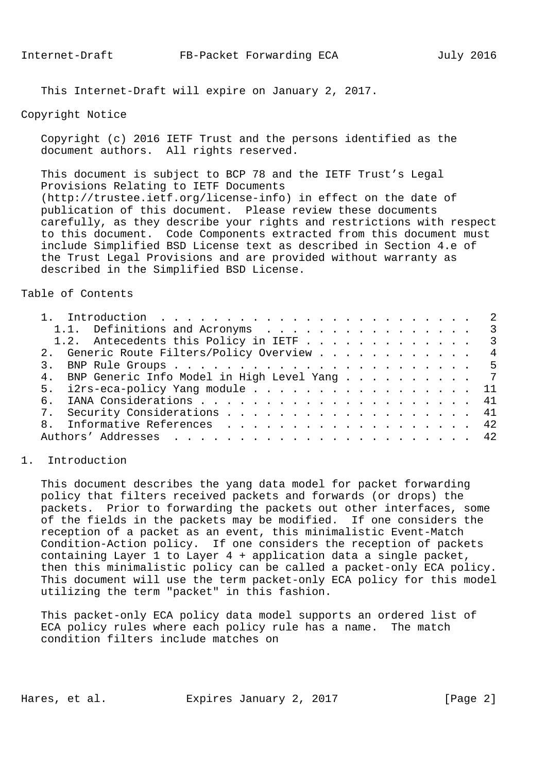This Internet-Draft will expire on January 2, 2017.

## Copyright Notice

 Copyright (c) 2016 IETF Trust and the persons identified as the document authors. All rights reserved.

 This document is subject to BCP 78 and the IETF Trust's Legal Provisions Relating to IETF Documents (http://trustee.ietf.org/license-info) in effect on the date of publication of this document. Please review these documents carefully, as they describe your rights and restrictions with respect to this document. Code Components extracted from this document must include Simplified BSD License text as described in Section 4.e of the Trust Legal Provisions and are provided without warranty as described in the Simplified BSD License.

Table of Contents

| 1.1. Definitions and Acronyms 3                |                |
|------------------------------------------------|----------------|
| 1.2. Antecedents this Policy in IETF 3         |                |
| 2. Generic Route Filters/Policy Overview       | $\overline{4}$ |
|                                                |                |
| 4. BNP Generic Info Model in High Level Yang 7 |                |
| 5. i2rs-eca-policy Yang module 11              |                |
| б.                                             |                |
| 7. Security Considerations 41                  |                |
| Informative References 42                      |                |
|                                                |                |

## 1. Introduction

 This document describes the yang data model for packet forwarding policy that filters received packets and forwards (or drops) the packets. Prior to forwarding the packets out other interfaces, some of the fields in the packets may be modified. If one considers the reception of a packet as an event, this minimalistic Event-Match Condition-Action policy. If one considers the reception of packets containing Layer 1 to Layer 4 + application data a single packet, then this minimalistic policy can be called a packet-only ECA policy. This document will use the term packet-only ECA policy for this model utilizing the term "packet" in this fashion.

 This packet-only ECA policy data model supports an ordered list of ECA policy rules where each policy rule has a name. The match condition filters include matches on

Hares, et al. Expires January 2, 2017 [Page 2]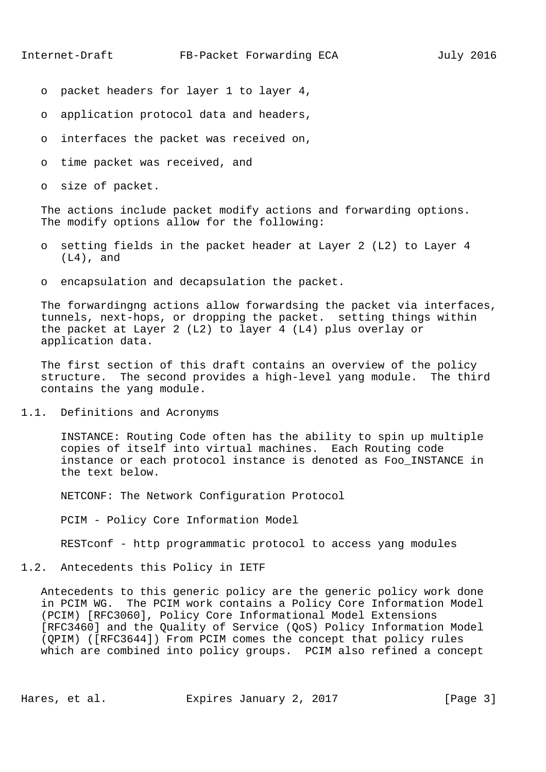- o packet headers for layer 1 to layer 4,
- o application protocol data and headers,
- o interfaces the packet was received on,
- o time packet was received, and
- o size of packet.

 The actions include packet modify actions and forwarding options. The modify options allow for the following:

- o setting fields in the packet header at Layer 2 (L2) to Layer 4 (L4), and
- o encapsulation and decapsulation the packet.

 The forwardingng actions allow forwardsing the packet via interfaces, tunnels, next-hops, or dropping the packet. setting things within the packet at Layer 2 (L2) to layer 4 (L4) plus overlay or application data.

 The first section of this draft contains an overview of the policy structure. The second provides a high-level yang module. The third contains the yang module.

1.1. Definitions and Acronyms

 INSTANCE: Routing Code often has the ability to spin up multiple copies of itself into virtual machines. Each Routing code instance or each protocol instance is denoted as Foo\_INSTANCE in the text below.

NETCONF: The Network Configuration Protocol

PCIM - Policy Core Information Model

RESTconf - http programmatic protocol to access yang modules

1.2. Antecedents this Policy in IETF

 Antecedents to this generic policy are the generic policy work done in PCIM WG. The PCIM work contains a Policy Core Information Model (PCIM) [RFC3060], Policy Core Informational Model Extensions [RFC3460] and the Quality of Service (QoS) Policy Information Model (QPIM) ([RFC3644]) From PCIM comes the concept that policy rules which are combined into policy groups. PCIM also refined a concept

Hares, et al. Expires January 2, 2017 [Page 3]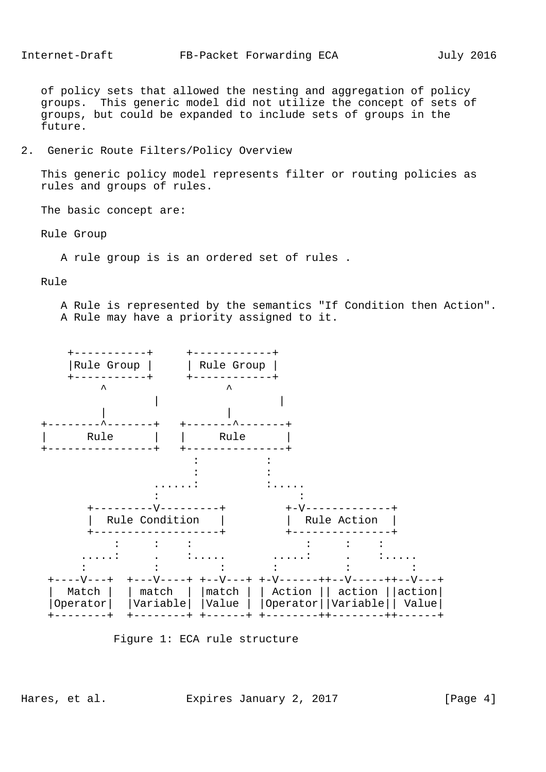of policy sets that allowed the nesting and aggregation of policy groups. This generic model did not utilize the concept of sets of groups, but could be expanded to include sets of groups in the future.

2. Generic Route Filters/Policy Overview

 This generic policy model represents filter or routing policies as rules and groups of rules.

The basic concept are:

Rule Group

A rule group is is an ordered set of rules .

Rule

 A Rule is represented by the semantics "If Condition then Action". A Rule may have a priority assigned to it.



Figure 1: ECA rule structure

Hares, et al. Expires January 2, 2017 [Page 4]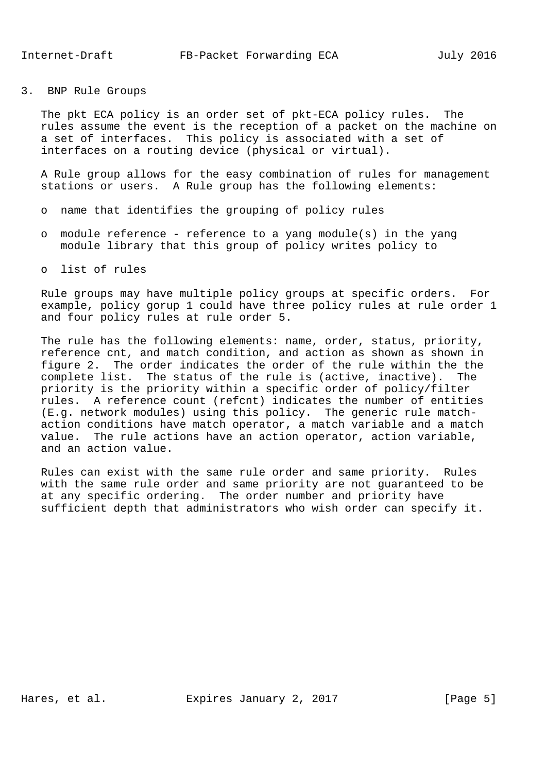3. BNP Rule Groups

 The pkt ECA policy is an order set of pkt-ECA policy rules. The rules assume the event is the reception of a packet on the machine on a set of interfaces. This policy is associated with a set of interfaces on a routing device (physical or virtual).

 A Rule group allows for the easy combination of rules for management stations or users. A Rule group has the following elements:

- o name that identifies the grouping of policy rules
- o module reference reference to a yang module(s) in the yang module library that this group of policy writes policy to
- o list of rules

 Rule groups may have multiple policy groups at specific orders. For example, policy gorup 1 could have three policy rules at rule order 1 and four policy rules at rule order 5.

 The rule has the following elements: name, order, status, priority, reference cnt, and match condition, and action as shown as shown in figure 2. The order indicates the order of the rule within the the complete list. The status of the rule is (active, inactive). The priority is the priority within a specific order of policy/filter rules. A reference count (refcnt) indicates the number of entities (E.g. network modules) using this policy. The generic rule match action conditions have match operator, a match variable and a match value. The rule actions have an action operator, action variable, and an action value.

 Rules can exist with the same rule order and same priority. Rules with the same rule order and same priority are not guaranteed to be at any specific ordering. The order number and priority have sufficient depth that administrators who wish order can specify it.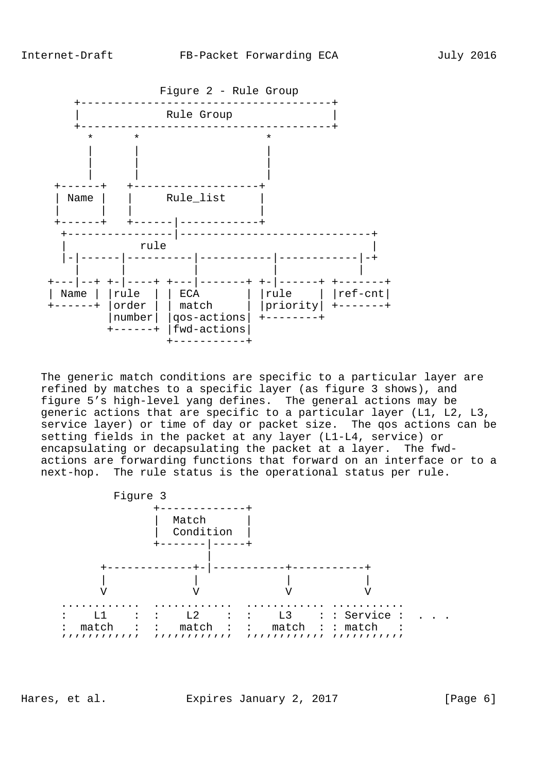

 The generic match conditions are specific to a particular layer are refined by matches to a specific layer (as figure 3 shows), and figure 5's high-level yang defines. The general actions may be generic actions that are specific to a particular layer (L1, L2, L3, service layer) or time of day or packet size. The qos actions can be setting fields in the packet at any layer (L1-L4, service) or encapsulating or decapsulating the packet at a layer. The fwd actions are forwarding functions that forward on an interface or to a next-hop. The rule status is the operational status per rule.



Hares, et al. Expires January 2, 2017 [Page 6]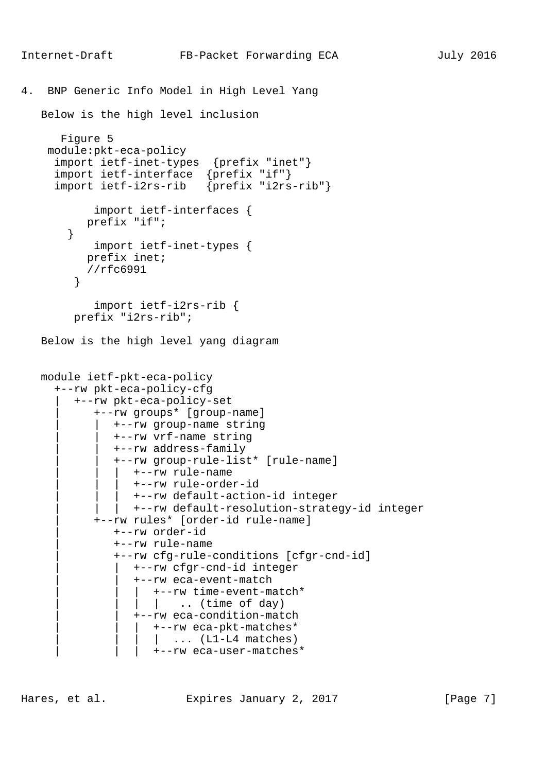```
4. BNP Generic Info Model in High Level Yang
    Below is the high level inclusion
       Figure 5
     module:pkt-eca-policy
      import ietf-inet-types {prefix "inet"}
      import ietf-interface {prefix "if"}
      import ietf-i2rs-rib {prefix "i2rs-rib"}
             import ietf-interfaces {
           prefix "if";
        }
             import ietf-inet-types {
            prefix inet;
            //rfc6991
 }
             import ietf-i2rs-rib {
         prefix "i2rs-rib";
    Below is the high level yang diagram
    module ietf-pkt-eca-policy
      +--rw pkt-eca-policy-cfg
         | +--rw pkt-eca-policy-set
             | +--rw groups* [group-name]
                | | +--rw group-name string
                | | +--rw vrf-name string
                | | +--rw address-family
                | | +--rw group-rule-list* [rule-name]
                   | | | +--rw rule-name
                   | | | +--rw rule-order-id
                    | | | +--rw default-action-id integer
                   | | | +--rw default-resolution-strategy-id integer
             | +--rw rules* [order-id rule-name]
                | +--rw order-id
                | +--rw rule-name
                | +--rw cfg-rule-conditions [cfgr-cnd-id]
                    | | +--rw cfgr-cnd-id integer
                    | | +--rw eca-event-match
                     | | | +--rw time-event-match*
                    | .. (time of day)
                   | | +--rw eca-condition-match
                      | | | +--rw eca-pkt-matches*
                      |\quad \ldots \quad (L1-L4 matches)
                       | | | +--rw eca-user-matches*
```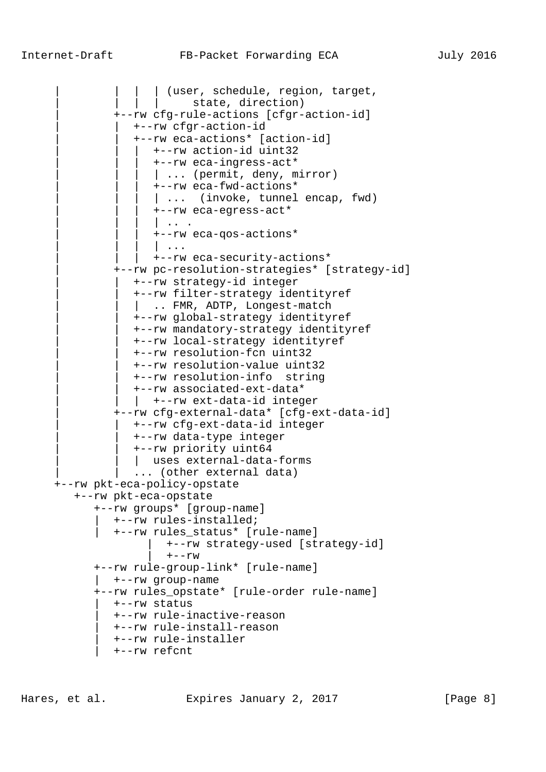| (user, schedule, region, target, | | state, direction) | +--rw cfg-rule-actions [cfgr-action-id] | | +--rw cfgr-action-id | | +--rw eca-actions\* [action-id] | | | +--rw action-id uint32 | | | +--rw eca-ingress-act\* | ... (permit, deny, mirror) | | | +--rw eca-fwd-actions\* | ... (invoke, tunnel encap, fwd) | | | +--rw eca-egress-act\*  $| \cdot |$  . . . | | | +--rw eca-qos-actions\*  $\| \cdot \cdot \cdot \|$  | | | +--rw eca-security-actions\* | +--rw pc-resolution-strategies\* [strategy-id] | | +--rw strategy-id integer | | +--rw filter-strategy identityref | .. FMR, ADTP, Longest-match | | +--rw global-strategy identityref | | +--rw mandatory-strategy identityref | | +--rw local-strategy identityref | | +--rw resolution-fcn uint32 | | +--rw resolution-value uint32 | | +--rw resolution-info string | | +--rw associated-ext-data\* | +--rw ext-data-id integer | +--rw cfg-external-data\* [cfg-ext-data-id] | | +--rw cfg-ext-data-id integer | | +--rw data-type integer | | +--rw priority uint64 | uses external-data-forms ... (other external data) +--rw pkt-eca-policy-opstate +--rw pkt-eca-opstate +--rw groups\* [group-name] | +--rw rules-installed; | +--rw rules\_status\* [rule-name] | +--rw strategy-used [strategy-id]  $+--rw$  +--rw rule-group-link\* [rule-name] | +--rw group-name +--rw rules\_opstate\* [rule-order rule-name] | +--rw status | +--rw rule-inactive-reason | +--rw rule-install-reason | +--rw rule-installer | +--rw refcnt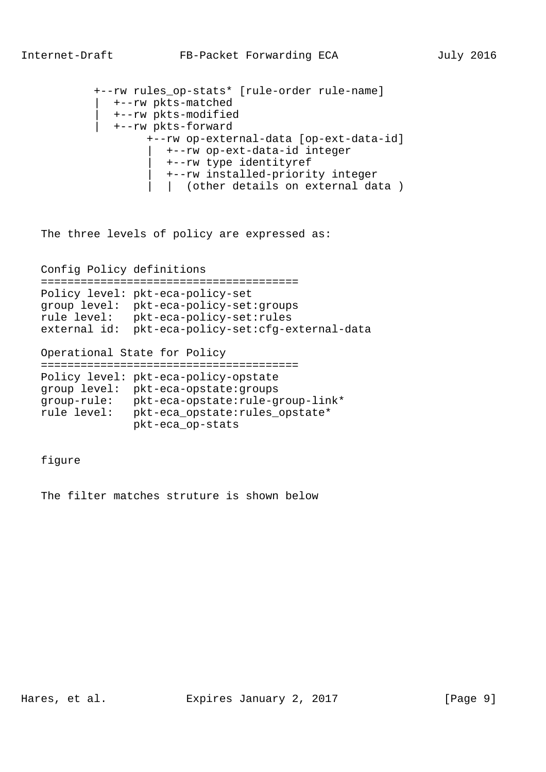```
 +--rw rules_op-stats* [rule-order rule-name]
    | +--rw pkts-matched
    | +--rw pkts-modified
    | +--rw pkts-forward
         +--rw op-external-data [op-ext-data-id]
            | +--rw op-ext-data-id integer
            | +--rw type identityref
            | +--rw installed-priority integer
            | | (other details on external data )
```
The three levels of policy are expressed as:

Config Policy definitions

|              | Policy level: pkt-eca-policy-set        |
|--------------|-----------------------------------------|
|              | group level: pkt-eca-policy-set: groups |
| rule level:  | pkt-eca-policy-set:rules                |
| external id: | pkt-eca-policy-set:cfg-external-data    |

Operational State for Policy

```
 =======================================
 Policy level: pkt-eca-policy-opstate
 group level: pkt-eca-opstate:groups
 group-rule: pkt-eca-opstate:rule-group-link*
 rule level: pkt-eca_opstate:rules_opstate*
              pkt-eca_op-stats
```
figure

The filter matches struture is shown below

Hares, et al. Expires January 2, 2017 [Page 9]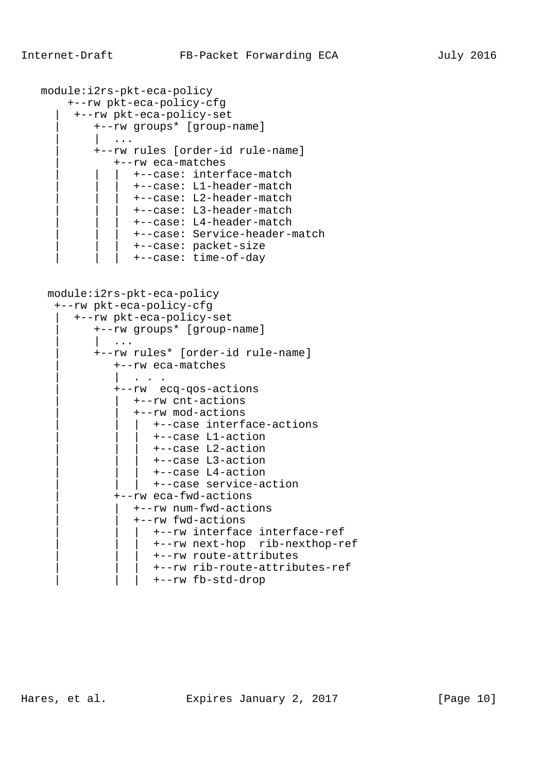```
 module:i2rs-pkt-eca-policy
      +--rw pkt-eca-policy-cfg
       | +--rw pkt-eca-policy-set
          | +--rw groups* [group-name]
              | | ...
          | +--rw rules [order-id rule-name]
              | +--rw eca-matches
                 | | | +--case: interface-match
                 | | | +--case: L1-header-match
                 | | | +--case: L2-header-match
                 | | | +--case: L3-header-match
                 | | | +--case: L4-header-match
                 | | | +--case: Service-header-match
                  | | | +--case: packet-size
                 | | | +--case: time-of-day
  module:i2rs-pkt-eca-policy
   +--rw pkt-eca-policy-cfg
       | +--rw pkt-eca-policy-set
          | +--rw groups* [group-name]
              | | ...
          | +--rw rules* [order-id rule-name]
              | +--rw eca-matches
                | | . . .
              | +--rw ecq-qos-actions
                 | | +--rw cnt-actions
                 | | +--rw mod-actions
                    | | | +--case interface-actions
                     | | | +--case L1-action
                    | | | +--case L2-action
                     | | | +--case L3-action
                     | | | +--case L4-action
                 | +--case service-action
              | +--rw eca-fwd-actions
                 | | +--rw num-fwd-actions
                 | | +--rw fwd-actions
                    | | | +--rw interface interface-ref
                     | | | +--rw next-hop rib-nexthop-ref
                     | | | +--rw route-attributes
                     | | | +--rw rib-route-attributes-ref
                    | | | +--rw fb-std-drop
```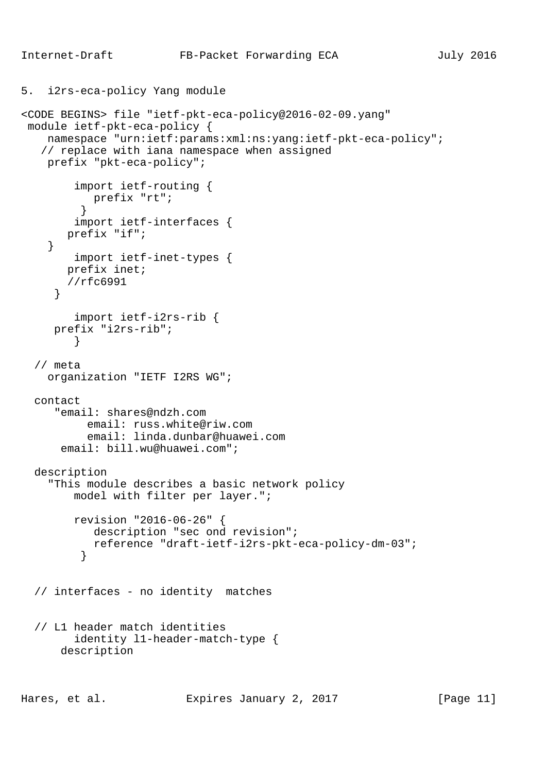```
5. i2rs-eca-policy Yang module
<CODE BEGINS> file "ietf-pkt-eca-policy@2016-02-09.yang"
 module ietf-pkt-eca-policy {
     namespace "urn:ietf:params:xml:ns:yang:ietf-pkt-eca-policy";
    // replace with iana namespace when assigned
    prefix "pkt-eca-policy";
         import ietf-routing {
         prefix "rt";<br>}
 }
         import ietf-interfaces {
       prefix "if";
     }
         import ietf-inet-types {
       prefix inet;
        //rfc6991
      }
         import ietf-i2rs-rib {
      prefix "i2rs-rib";
 }
   // meta
     organization "IETF I2RS WG";
   contact
      "email: shares@ndzh.com
           email: russ.white@riw.com
           email: linda.dunbar@huawei.com
       email: bill.wu@huawei.com";
  description
     "This module describes a basic network policy
         model with filter per layer.";
         revision "2016-06-26" {
            description "sec ond revision";
            reference "draft-ietf-i2rs-pkt-eca-policy-dm-03";
 }
   // interfaces - no identity matches
   // L1 header match identities
         identity l1-header-match-type {
       description
```
Hares, et al. Expires January 2, 2017 [Page 11]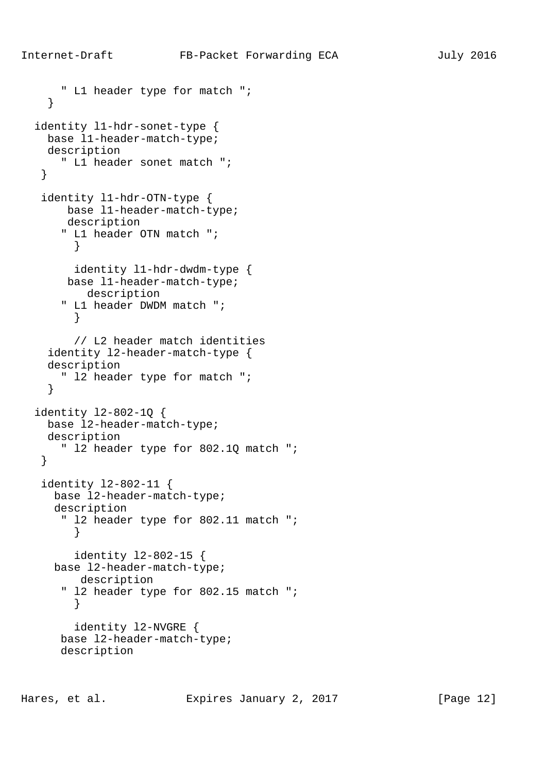```
 " L1 header type for match ";
     }
   identity l1-hdr-sonet-type {
     base l1-header-match-type;
    description
       " L1 header sonet match ";
    }
    identity l1-hdr-OTN-type {
       base l1-header-match-type;
       description
       " L1 header OTN match ";
         }
        identity l1-hdr-dwdm-type {
       base l1-header-match-type;
         description
       " L1 header DWDM match ";
        }
         // L2 header match identities
     identity l2-header-match-type {
     description
       " l2 header type for match ";
     }
   identity l2-802-1Q {
    base l2-header-match-type;
    description
       " l2 header type for 802.1Q match ";
    }
    identity l2-802-11 {
     base l2-header-match-type;
      description
      " 12 header type for 802.11 match ";
 }
        identity l2-802-15 {
      base l2-header-match-type;
         description
       " l2 header type for 802.15 match ";
 }
         identity l2-NVGRE {
       base l2-header-match-type;
       description
```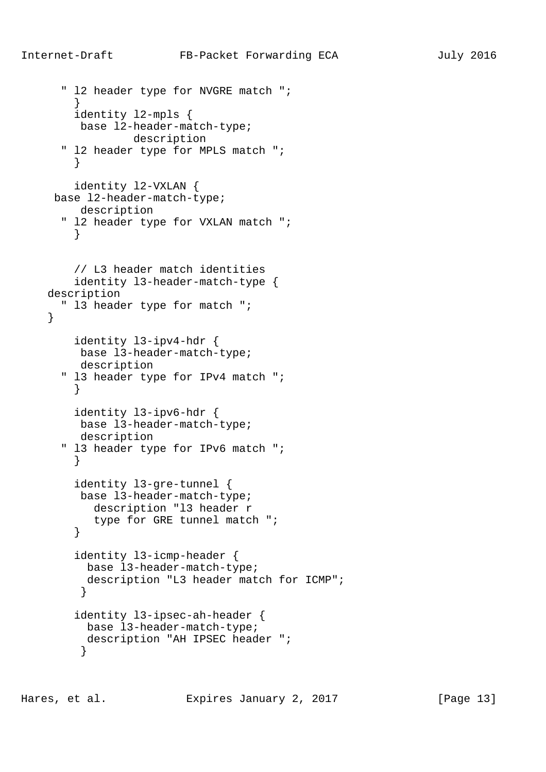```
 " l2 header type for NVGRE match ";
 }
        identity l2-mpls {
        base l2-header-match-type;
                 description
       " l2 header type for MPLS match ";
 }
        identity l2-VXLAN {
     base l2-header-match-type;
         description
       " l2 header type for VXLAN match ";
        }
        // L3 header match identities
        identity l3-header-match-type {
    description
       " l3 header type for match ";
     }
        identity l3-ipv4-hdr {
         base l3-header-match-type;
         description
       " l3 header type for IPv4 match ";
        }
        identity l3-ipv6-hdr {
         base l3-header-match-type;
         description
       " l3 header type for IPv6 match ";
 }
        identity l3-gre-tunnel {
         base l3-header-match-type;
           description "l3 header r
        type for GRE tunnel match ";<br>}
 }
        identity l3-icmp-header {
          base l3-header-match-type;
          description "L3 header match for ICMP";
 }
        identity l3-ipsec-ah-header {
          base l3-header-match-type;
          description "AH IPSEC header ";
 }
```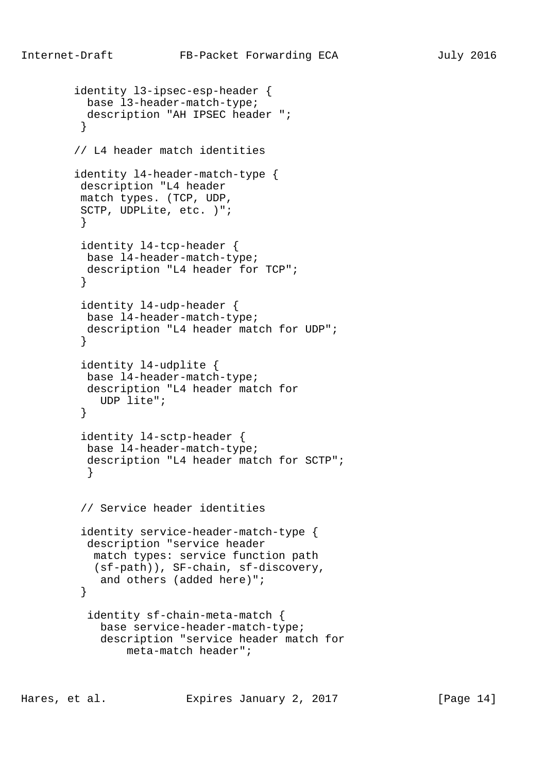```
 identity l3-ipsec-esp-header {
          base l3-header-match-type;
          description "AH IPSEC header ";
 }
        // L4 header match identities
        identity l4-header-match-type {
         description "L4 header
         match types. (TCP, UDP,
         SCTP, UDPLite, etc. )";
 }
         identity l4-tcp-header {
          base l4-header-match-type;
          description "L4 header for TCP";
 }
         identity l4-udp-header {
          base l4-header-match-type;
          description "L4 header match for UDP";
 }
         identity l4-udplite {
          base l4-header-match-type;
          description "L4 header match for
            UDP lite";
 }
         identity l4-sctp-header {
          base l4-header-match-type;
          description "L4 header match for SCTP";
 }
         // Service header identities
         identity service-header-match-type {
          description "service header
           match types: service function path
           (sf-path)), SF-chain, sf-discovery,
            and others (added here)";
 }
          identity sf-chain-meta-match {
            base service-header-match-type;
            description "service header match for
                meta-match header";
```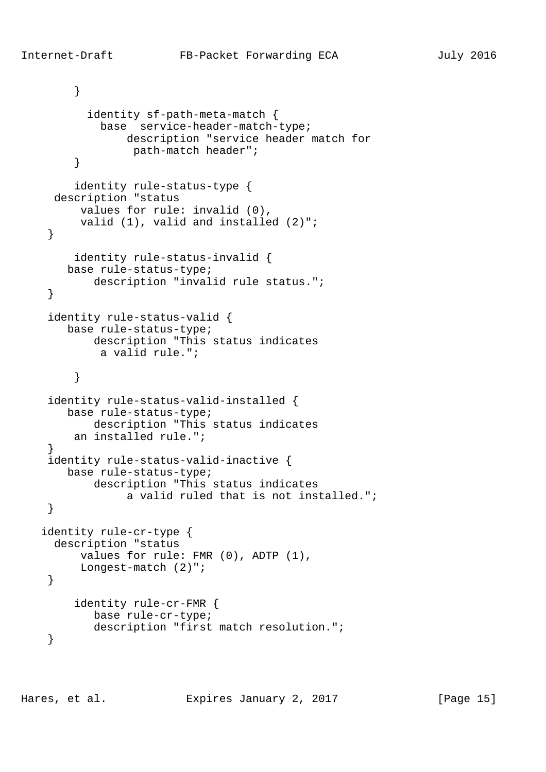```
 }
           identity sf-path-meta-match {
             base service-header-match-type;
                 description "service header match for
                  path-match header";
         }
         identity rule-status-type {
      description "status
          values for rule: invalid (0),
         valid (1), valid and installed (2)";
     }
         identity rule-status-invalid {
       base rule-status-type;
            description "invalid rule status.";
     }
     identity rule-status-valid {
        base rule-status-type;
           description "This status indicates
             a valid rule.";
 }
     identity rule-status-valid-installed {
        base rule-status-type;
            description "This status indicates
         an installed rule.";
 }
     identity rule-status-valid-inactive {
       base rule-status-type;
            description "This status indicates
                 a valid ruled that is not installed.";
     }
    identity rule-cr-type {
      description "status
          values for rule: FMR (0), ADTP (1),
          Longest-match (2)";
     }
         identity rule-cr-FMR {
            base rule-cr-type;
            description "first match resolution.";
     }
```
Hares, et al. Expires January 2, 2017 [Page 15]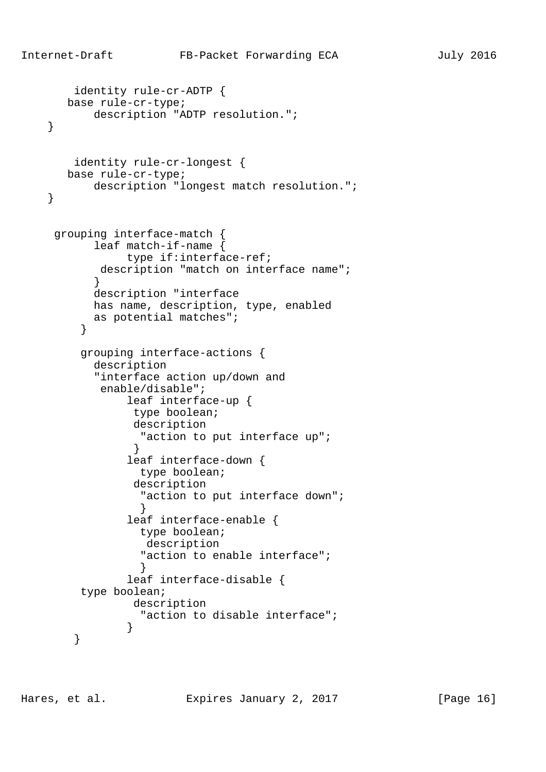```
 identity rule-cr-ADTP {
       base rule-cr-type;
          description "ADTP resolution.";
    }
        identity rule-cr-longest {
       base rule-cr-type;
           description "longest match resolution.";
    }
     grouping interface-match {
           leaf match-if-name {
                type if:interface-ref;
           description "match on interface name";
 }
           description "interface
           has name, description, type, enabled
           as potential matches";
 }
         grouping interface-actions {
           description
           "interface action up/down and
            enable/disable";
                leaf interface-up {
                 type boolean;
                 description
                 "action to put interface up";
 }
                leaf interface-down {
                  type boolean;
                 description
                 "action to put interface down";
 }
                leaf interface-enable {
                  type boolean;
                  description
                  "action to enable interface";
 }
                leaf interface-disable {
         type boolean;
                 description
                  "action to disable interface";
 }
        }
```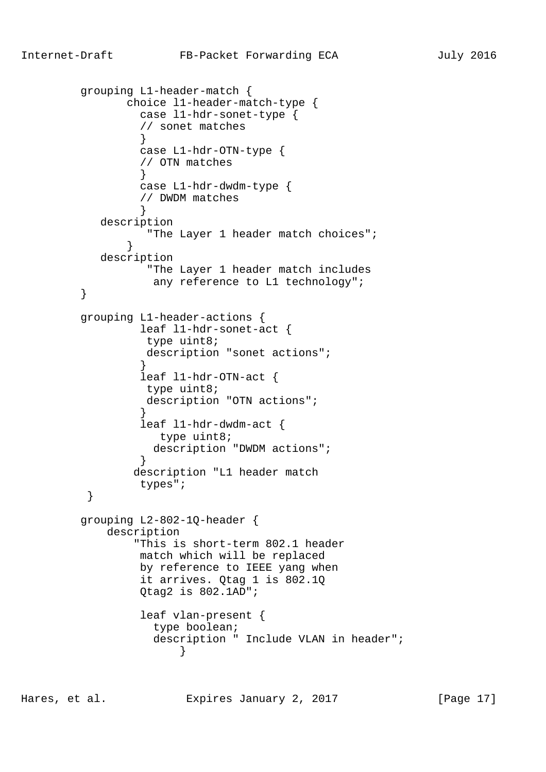```
 grouping L1-header-match {
               choice l1-header-match-type {
                case l1-hdr-sonet-type {
                 // sonet matches
 }
                case L1-hdr-OTN-type {
                // OTN matches
 }
                case L1-hdr-dwdm-type {
                 // DWDM matches
 }
           description
                 "The Layer 1 header match choices";
 }
           description
                 "The Layer 1 header match includes
                 any reference to L1 technology";
 }
        grouping L1-header-actions {
                leaf l1-hdr-sonet-act {
                 type uint8;
                 description "sonet actions";
 }
                leaf l1-hdr-OTN-act {
                 type uint8;
                 description "OTN actions";
 }
                leaf l1-hdr-dwdm-act {
                   type uint8;
                  description "DWDM actions";
 }
                description "L1 header match
         types";
 }
        grouping L2-802-1Q-header {
            description
                "This is short-term 802.1 header
                match which will be replaced
                by reference to IEEE yang when
                it arrives. Qtag 1 is 802.1Q
                Qtag2 is 802.1AD";
                leaf vlan-present {
                  type boolean;
                  description " Include VLAN in header";
 }
```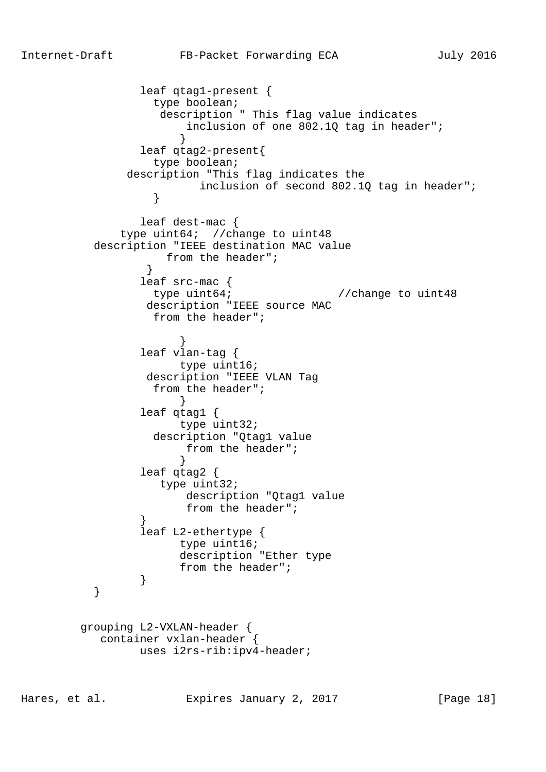leaf qtag1-present { type boolean; description " This flag value indicates inclusion of one 802.1Q tag in header"; } leaf qtag2-present{ type boolean; description "This flag indicates the inclusion of second 802.1Q tag in header"; } leaf dest-mac { type uint64; //change to uint48 description "IEEE destination MAC value from the header"; } leaf src-mac { type uint64;<br>
//change to uint48 description "IEEE source MAC from the header"; } leaf vlan-tag { type uint16; description "IEEE VLAN Tag from the header"; } leaf qtag1 { type uint32; description "Qtag1 value from the header"; } leaf qtag2 { type uint32; description "Qtag1 value from the header"; } leaf L2-ethertype { type uint16; description "Ether type from the header";<br>} } } grouping L2-VXLAN-header { container vxlan-header { uses i2rs-rib:ipv4-header;

Hares, et al. Expires January 2, 2017 [Page 18]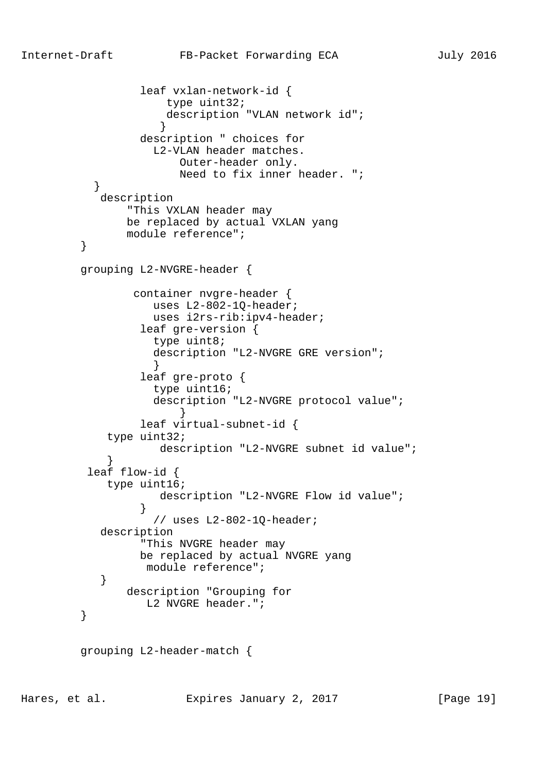```
 leaf vxlan-network-id {
                     type uint32;
                     description "VLAN network id";
 }
                 description " choices for
                   L2-VLAN header matches.
                      Outer-header only.
                      Need to fix inner header. ";
 }
           description
               "This VXLAN header may
               be replaced by actual VXLAN yang
        module reference";<br>}
 }
         grouping L2-NVGRE-header {
                container nvgre-header {
                   uses L2-802-1Q-header;
                   uses i2rs-rib:ipv4-header;
                 leaf gre-version {
                   type uint8;
                   description "L2-NVGRE GRE version";
 }
                 leaf gre-proto {
                   type uint16;
                   description "L2-NVGRE protocol value";
 }
                 leaf virtual-subnet-id {
            type uint32;
                    description "L2-NVGRE subnet id value";
 }
          leaf flow-id {
            type uint16;
                    description "L2-NVGRE Flow id value";
 }
                   // uses L2-802-1Q-header;
           description
                 "This NVGRE header may
                 be replaced by actual NVGRE yang
                  module reference";
 }
               description "Grouping for
                 L2 NVGRE header.";
 }
         grouping L2-header-match {
```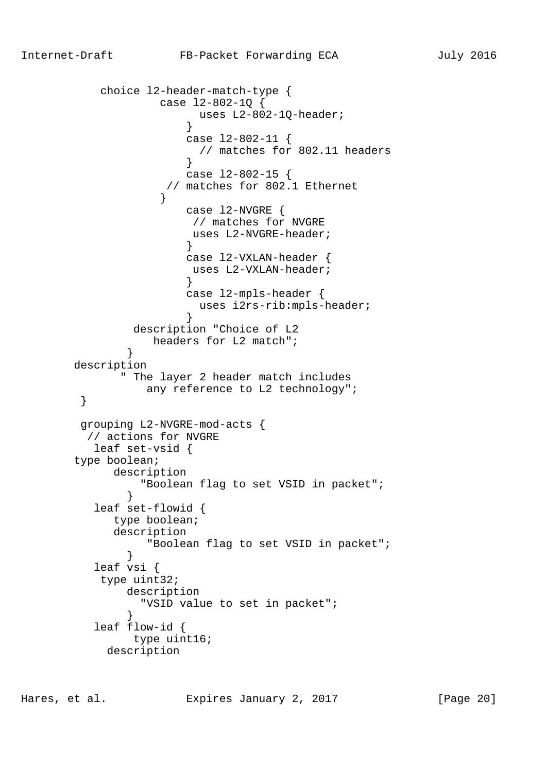```
 choice l2-header-match-type {
                  case l2-802-1Q {
                      uses L2-802-1Q-header;
 }
                     case l2-802-11 {
                      // matches for 802.11 headers
 }
                     case l2-802-15 {
                   // matches for 802.1 Ethernet
 }
                     case l2-NVGRE {
                     // matches for NVGRE
                      uses L2-NVGRE-header;
 }
                     case l2-VXLAN-header {
                      uses L2-VXLAN-header;
 }
                     case l2-mpls-header {
                      uses i2rs-rib:mpls-header;
 }
               description "Choice of L2
                 headers for L2 match";
 }
       description
             " The layer 2 header match includes
       any reference to L2 technology";
 }
        grouping L2-NVGRE-mod-acts {
         // actions for NVGRE
         leaf set-vsid {
       type boolean;
            description
               "Boolean flag to set VSID in packet";
 }
          leaf set-flowid {
            type boolean;
            description
                "Boolean flag to set VSID in packet";
 }
          leaf vsi {
          type uint32;
              description
               "VSID value to set in packet";
 }
          leaf flow-id {
              type uint16;
           description
```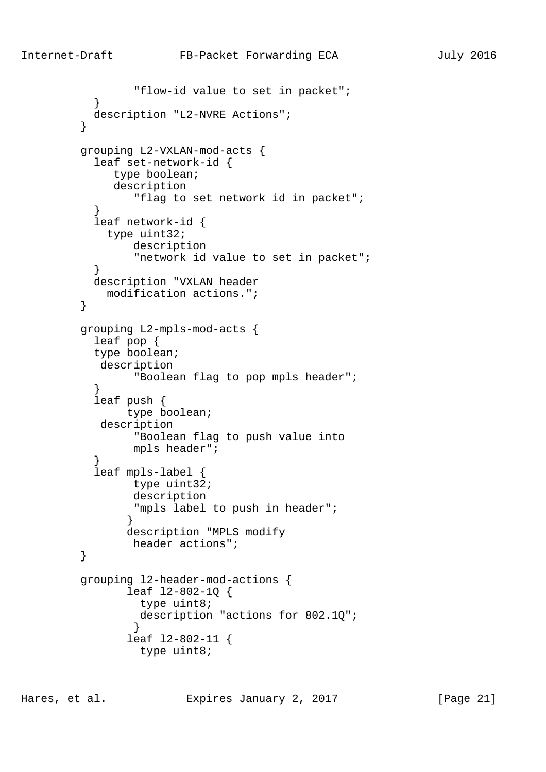```
 "flow-id value to set in packet";
 }
           description "L2-NVRE Actions";
 }
         grouping L2-VXLAN-mod-acts {
           leaf set-network-id {
             type boolean;
              description
                 "flag to set network id in packet";
 }
           leaf network-id {
            type uint32;
                description
                 "network id value to set in packet";
 }
           description "VXLAN header
            modification actions.";
 }
         grouping L2-mpls-mod-acts {
           leaf pop {
           type boolean;
            description
                 "Boolean flag to pop mpls header";
 }
           leaf push {
               type boolean;
            description
                 "Boolean flag to push value into
                mpls header";
 }
           leaf mpls-label {
                type uint32;
                description
                "mpls label to push in header";
 }
               description "MPLS modify
                header actions";
 }
         grouping l2-header-mod-actions {
                leaf l2-802-1Q {
                 type uint8;
                 description "actions for 802.1Q";
 }
                leaf l2-802-11 {
                 type uint8;
```
Hares, et al. Expires January 2, 2017 [Page 21]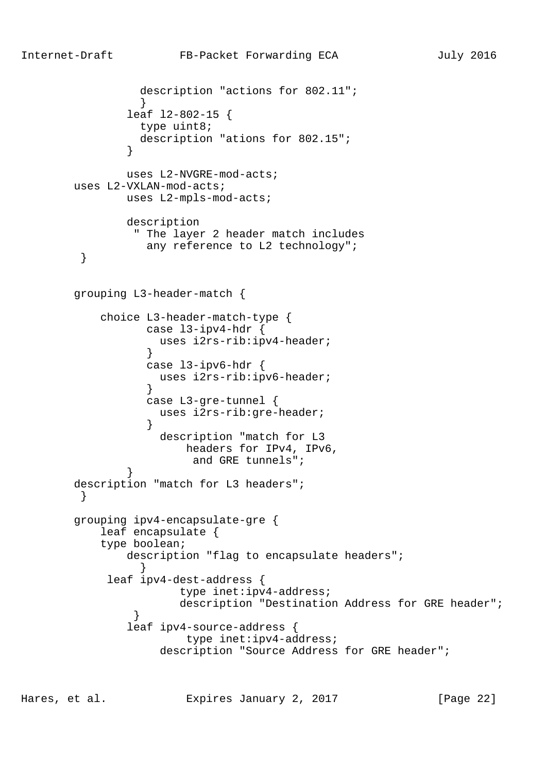```
 description "actions for 802.11";
 }
               leaf l2-802-15 {
                type uint8;
                description "ations for 802.15";
 }
               uses L2-NVGRE-mod-acts;
       uses L2-VXLAN-mod-acts;
               uses L2-mpls-mod-acts;
               description
                " The layer 2 header match includes
        any reference to L2 technology";
 }
       grouping L3-header-match {
           choice L3-header-match-type {
                 case l3-ipv4-hdr {
                   uses i2rs-rib:ipv4-header;
 }
                 case l3-ipv6-hdr {
                   uses i2rs-rib:ipv6-header;
 }
                 case L3-gre-tunnel {
                   uses i2rs-rib:gre-header;
 }
                   description "match for L3
                       headers for IPv4, IPv6,
                        and GRE tunnels";
 }
       description "match for L3 headers";
 }
       grouping ipv4-encapsulate-gre {
           leaf encapsulate {
           type boolean;
              description "flag to encapsulate headers";
 }
            leaf ipv4-dest-address {
                      type inet:ipv4-address;
                      description "Destination Address for GRE header";
 }
               leaf ipv4-source-address {
                       type inet:ipv4-address;
                  description "Source Address for GRE header";
```
Hares, et al. Expires January 2, 2017 [Page 22]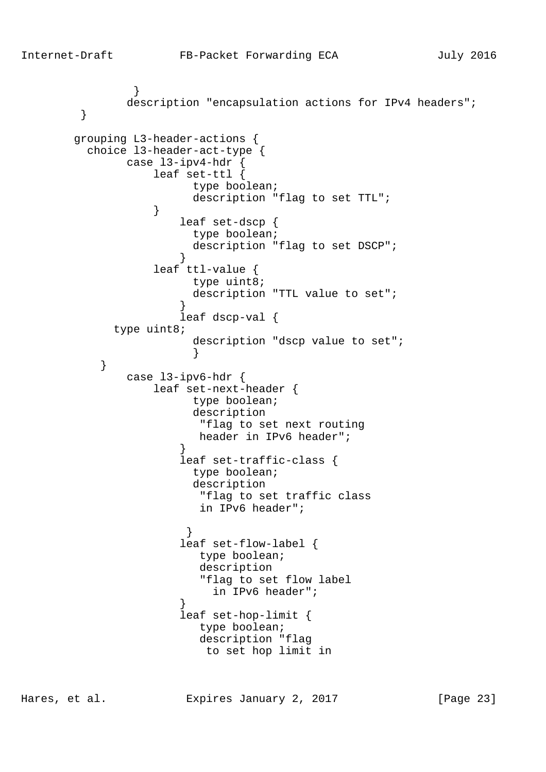```
 }
              description "encapsulation actions for IPv4 headers";
 }
       grouping L3-header-actions {
         choice l3-header-act-type {
              case l3-ipv4-hdr {
                  leaf set-ttl {
                       type boolean;
                      description "flag to set TTL";
 }
                     leaf set-dscp {
                      type boolean;
                       description "flag to set DSCP";
 }
                  leaf ttl-value {
                       type uint8;
                       description "TTL value to set";
 }
                     leaf dscp-val {
            type uint8;
                       description "dscp value to set";
 }
 }
              case l3-ipv6-hdr {
                  leaf set-next-header {
                       type boolean;
                       description
                        "flag to set next routing
                        header in IPv6 header";
 }
                     leaf set-traffic-class {
                       type boolean;
                       description
                        "flag to set traffic class
                        in IPv6 header";
 }
                     leaf set-flow-label {
                       type boolean;
                        description
                        "flag to set flow label
                         in IPv6 header";
 }
                     leaf set-hop-limit {
                        type boolean;
                        description "flag
                        to set hop limit in
```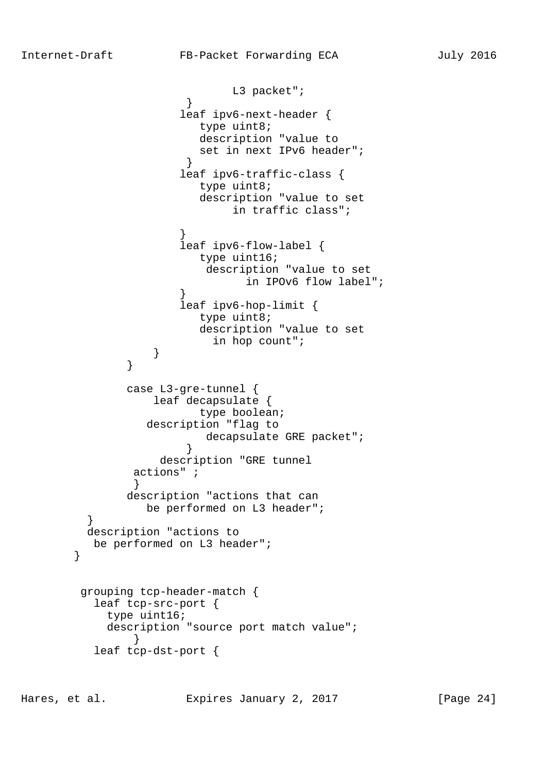L3 packet"; } leaf ipv6-next-header { type uint8; description "value to set in next IPv6 header"; } leaf ipv6-traffic-class { type uint8; description "value to set in traffic class"; } leaf ipv6-flow-label { type uint16; description "value to set in IPOv6 flow label"; } leaf ipv6-hop-limit { type uint8; description "value to set in hop count"; } } case L3-gre-tunnel { leaf decapsulate { type boolean; description "flag to decapsulate GRE packet"; } description "GRE tunnel actions" ; } description "actions that can be performed on L3 header"; } description "actions to be performed on L3 header"; } grouping tcp-header-match { leaf tcp-src-port { type uint16; description "source port match value"; } leaf tcp-dst-port {

Hares, et al. Expires January 2, 2017 [Page 24]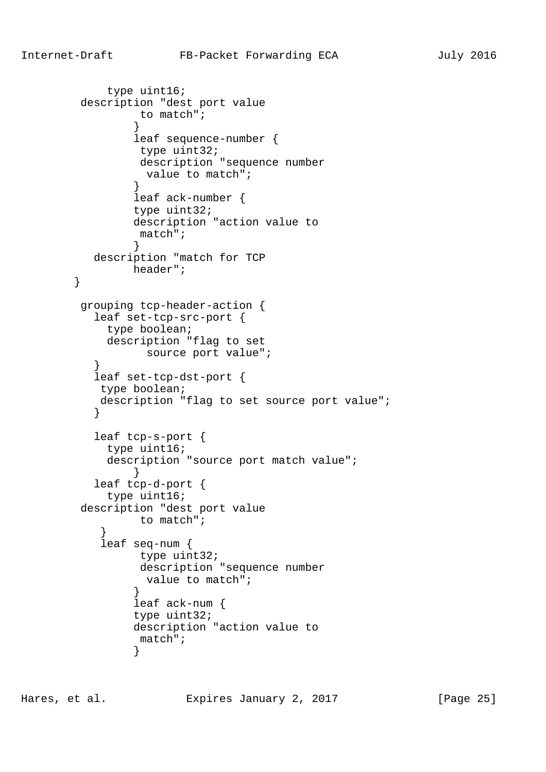```
 type uint16;
         description "dest port value
                 to match";
 }
                leaf sequence-number {
                type uint32;
                 description "sequence number
                  value to match";
 }
                leaf ack-number {
                type uint32;
                description "action value to
                 match";
 }
          description "match for TCP
               header";
        }
         grouping tcp-header-action {
          leaf set-tcp-src-port {
            type boolean;
            description "flag to set
                  source port value";
 }
          leaf set-tcp-dst-port {
           type boolean;
           description "flag to set source port value";
 }
          leaf tcp-s-port {
            type uint16;
            description "source port match value";
 }
          leaf tcp-d-port {
            type uint16;
         description "dest port value
                 to match";
 }
           leaf seq-num {
                 type uint32;
                 description "sequence number
                  value to match";
 }
                leaf ack-num {
                type uint32;
                description "action value to
                 match";
 }
```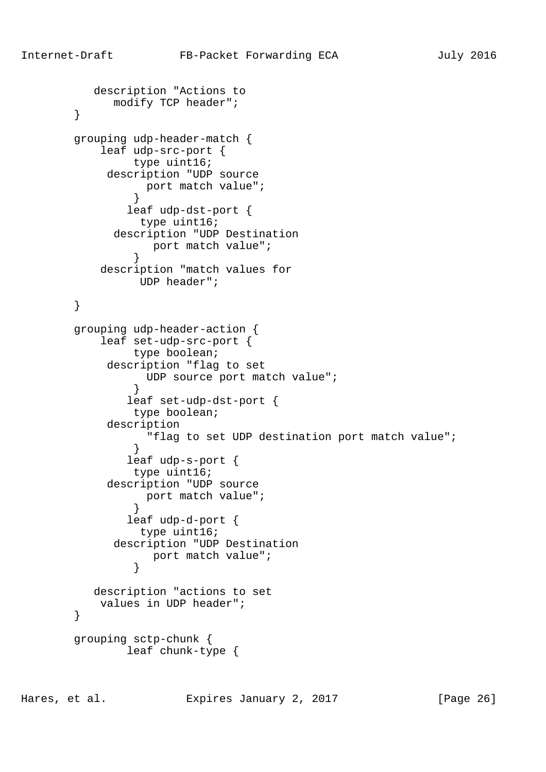```
 description "Actions to
              modify TCP header";
        }
        grouping udp-header-match {
            leaf udp-src-port {
                type uint16;
             description "UDP source
                port match value";<br>}
 }
                leaf udp-dst-port {
                 type uint16;
              description "UDP Destination
                port match value";<br>}
 }
            description "match values for
                 UDP header";
        }
        grouping udp-header-action {
            leaf set-udp-src-port {
                type boolean;
             description "flag to set
                  UDP source port match value";
 }
                leaf set-udp-dst-port {
                type boolean;
             description
                   "flag to set UDP destination port match value";
 }
                leaf udp-s-port {
                type uint16;
             description "UDP source
                port match value";<br>}
 }
                leaf udp-d-port {
                 type uint16;
              description "UDP Destination
                   port match value";
 }
           description "actions to set
            values in UDP header";
        }
        grouping sctp-chunk {
                leaf chunk-type {
```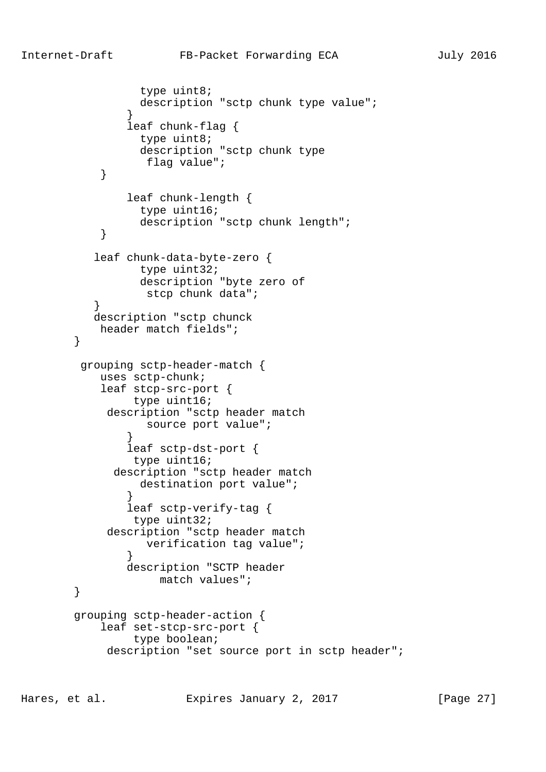```
 type uint8;
                 description "sctp chunk type value";
 }
                leaf chunk-flag {
                 type uint8;
                  description "sctp chunk type
                  flag value";
 }
                leaf chunk-length {
                  type uint16;
                  description "sctp chunk length";
 }
           leaf chunk-data-byte-zero {
                  type uint32;
                 description "byte zero of
                   stcp chunk data";
 }
           description "sctp chunck
            header match fields";
 }
         grouping sctp-header-match {
            uses sctp-chunk;
            leaf stcp-src-port {
                 type uint16;
             description "sctp header match
                  source port value";
 }
                leaf sctp-dst-port {
                type uint16;
              description "sctp header match
                 destination port value";
 }
                leaf sctp-verify-tag {
                type uint32;
             description "sctp header match
                  verification tag value";
 }
                description "SCTP header
                    match values";
        }
        grouping sctp-header-action {
            leaf set-stcp-src-port {
                 type boolean;
            description "set source port in sctp header";
```
Hares, et al. Expires January 2, 2017 [Page 27]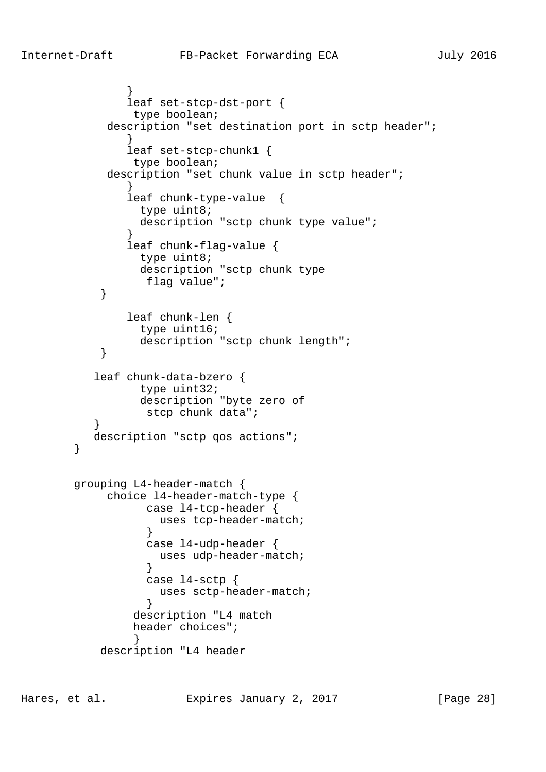```
 }
               leaf set-stcp-dst-port {
               type boolean;
           description "set destination port in sctp header";
 }
               leaf set-stcp-chunk1 {
               type boolean;
           description "set chunk value in sctp header";
 }
               leaf chunk-type-value {
                type uint8;
               description "sctp chunk type value";
 }
              leaf chunk-flag-value {
                type uint8;
                description "sctp chunk type
                 flag value";
 }
              leaf chunk-len {
                type uint16;
                description "sctp chunk length";
 }
          leaf chunk-data-bzero {
                type uint32;
                description "byte zero of
                 stcp chunk data";
 }
         description "sctp qos actions";
       grouping L4-header-match {
            choice l4-header-match-type {
                 case l4-tcp-header {
                   uses tcp-header-match;
 }
                 case l4-udp-header {
                  uses udp-header-match;
 }
                 case l4-sctp {
                  uses sctp-header-match;
 }
               description "L4 match
               header choices";
 }
           description "L4 header
```
}

Hares, et al. Expires January 2, 2017 [Page 28]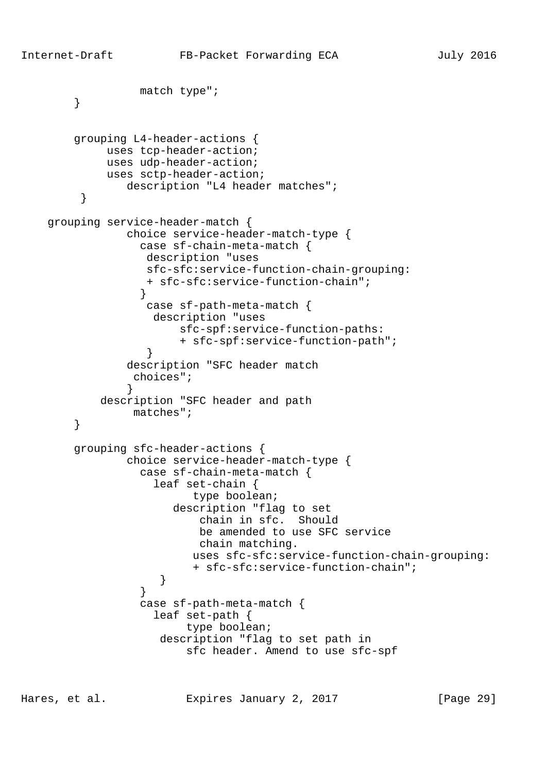```
 match type";
        }
        grouping L4-header-actions {
             uses tcp-header-action;
             uses udp-header-action;
             uses sctp-header-action;
                description "L4 header matches";
 }
    grouping service-header-match {
                choice service-header-match-type {
                  case sf-chain-meta-match {
                   description "uses
                   sfc-sfc:service-function-chain-grouping:
                   + sfc-sfc:service-function-chain";
 }
                   case sf-path-meta-match {
                   description "uses
                        sfc-spf:service-function-paths:
                        + sfc-spf:service-function-path";
 }
                description "SFC header match
                 choices";
 }
            description "SFC header and path
                 matches";
        }
        grouping sfc-header-actions {
                choice service-header-match-type {
                  case sf-chain-meta-match {
                    leaf set-chain {
                          type boolean;
                       description "flag to set
                          chain in sfc. Should
                          be amended to use SFC service
                          chain matching.
                         uses sfc-sfc:service-function-chain-grouping:
                          + sfc-sfc:service-function-chain";
 }
 }
                  case sf-path-meta-match {
                    leaf set-path {
                         type boolean;
                     description "flag to set path in
                         sfc header. Amend to use sfc-spf
```
Hares, et al. Expires January 2, 2017 [Page 29]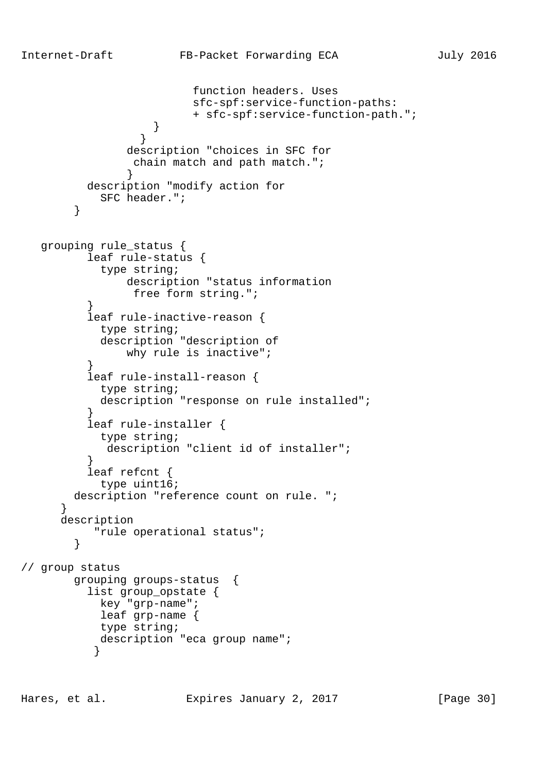```
 function headers. Uses
                         sfc-spf:service-function-paths:
                         + sfc-spf:service-function-path.";
 }
 }
                description "choices in SFC for
                 chain match and path match.";
 }
          description "modify action for
            SFC header.";
        }
   grouping rule_status {
          leaf rule-status {
            type string;
                description "status information
                free form string.";
 }
          leaf rule-inactive-reason {
            type string;
            description "description of
                why rule is inactive";
 }
          leaf rule-install-reason {
            type string;
            description "response on rule installed";
 }
          leaf rule-installer {
            type string;
            description "client id of installer";
 }
          leaf refcnt {
            type uint16;
        description "reference count on rule. ";
      }
      description
           "rule operational status";
        }
// group status
        grouping groups-status {
          list group_opstate {
            key "grp-name";
            leaf grp-name {
            type string;
           description "eca group name";
 }
```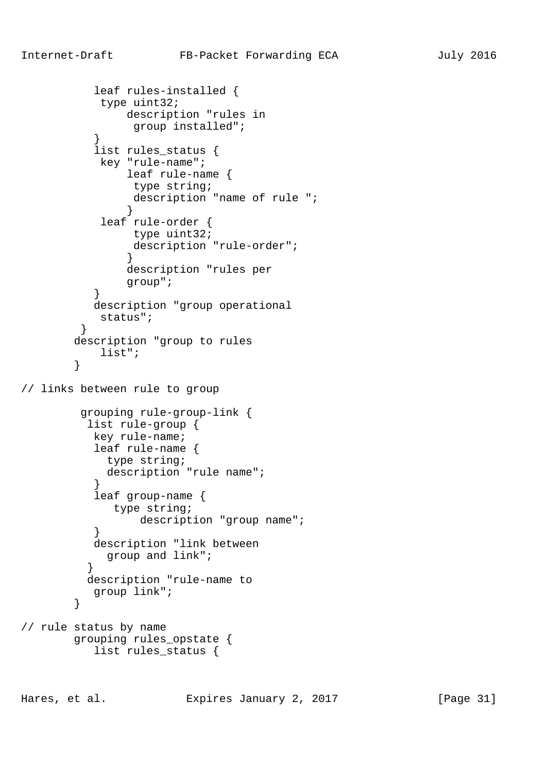```
 leaf rules-installed {
            type uint32;
               description "rules in
                group installed";
 }
           list rules_status {
            key "rule-name";
               leaf rule-name {
                type string;
                description "name of rule ";
 }
 leaf rule-order {
                type uint32;
                description "rule-order";
 }
               description "rules per
               group";
 }
           description "group operational
        status";<br>}
 }
        description "group to rules
        list";
 }
// links between rule to group
         grouping rule-group-link {
          list rule-group {
           key rule-name;
           leaf rule-name {
            type string;
            description "rule name";
 }
           leaf group-name {
             type string;
                 description "group name";
 }
           description "link between
            group and link";
 }
          description "rule-name to
           group link";
        }
// rule status by name
        grouping rules_opstate {
          list rules status {
```
Hares, et al. Expires January 2, 2017 [Page 31]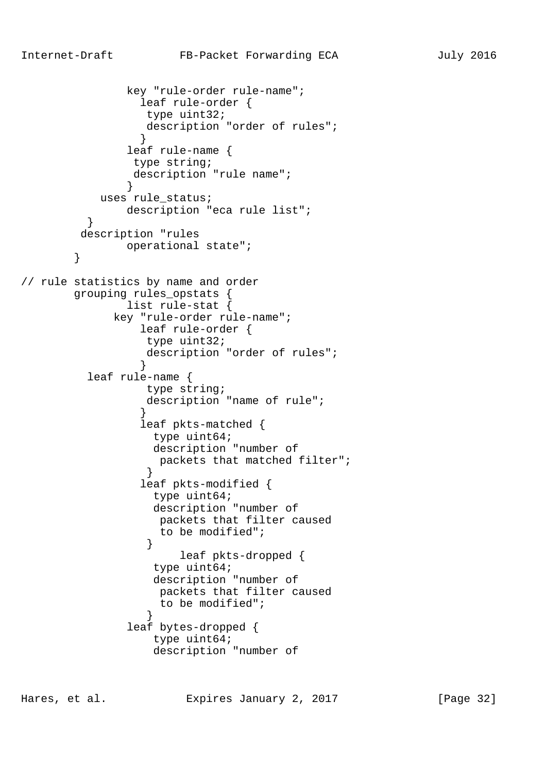key "rule-order rule-name"; leaf rule-order { type uint32; description "order of rules"; } leaf rule-name { type string; description "rule name"; } uses rule status; description "eca rule list"; } description "rules operational state"; } // rule statistics by name and order grouping rules\_opstats { list rule-stat { key "rule-order rule-name"; leaf rule-order { type uint32; description "order of rules"; } leaf rule-name { type string; description "name of rule"; } leaf pkts-matched { type uint64; description "number of packets that matched filter"; } leaf pkts-modified { type uint64; description "number of packets that filter caused to be modified"; } leaf pkts-dropped { type uint64; description "number of packets that filter caused to be modified"; } leaf bytes-dropped { type uint64; description "number of

Hares, et al. Expires January 2, 2017 [Page 32]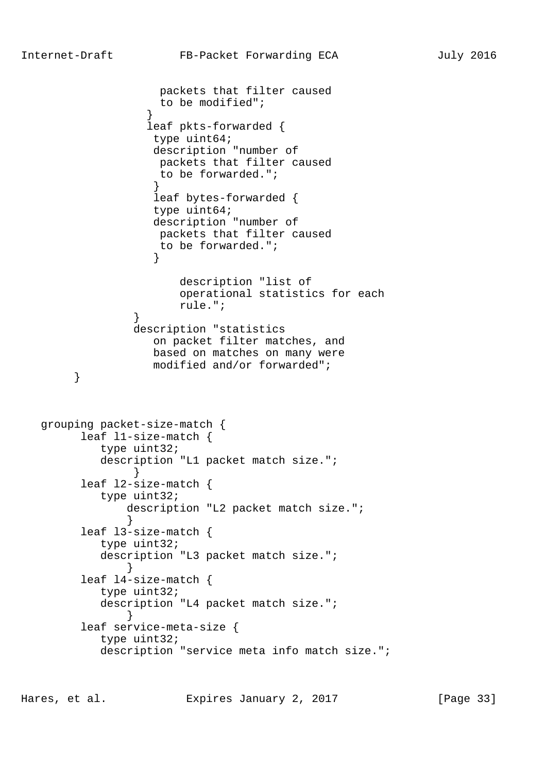```
 packets that filter caused
                    to be modified";
 }
                  leaf pkts-forwarded {
                   type uint64;
                   description "number of
                   packets that filter caused
                   to be forwarded.";
 }
                   leaf bytes-forwarded {
                   type uint64;
                   description "number of
                   packets that filter caused
                   to be forwarded.";
 }
                      description "list of
                      operational statistics for each
                      rule.";
 }
                description "statistics
                   on packet filter matches, and
                   based on matches on many were
       modified and/or forwarded";<br>}
 }
   grouping packet-size-match {
         leaf l1-size-match {
           type uint32;
           description "L1 packet match size.";
 }
         leaf l2-size-match {
           type uint32;
               description "L2 packet match size.";
 }
         leaf l3-size-match {
           type uint32;
           description "L3 packet match size.";
 }
         leaf l4-size-match {
           type uint32;
           description "L4 packet match size.";
 }
         leaf service-meta-size {
           type uint32;
           description "service meta info match size.";
```
Hares, et al. Expires January 2, 2017 [Page 33]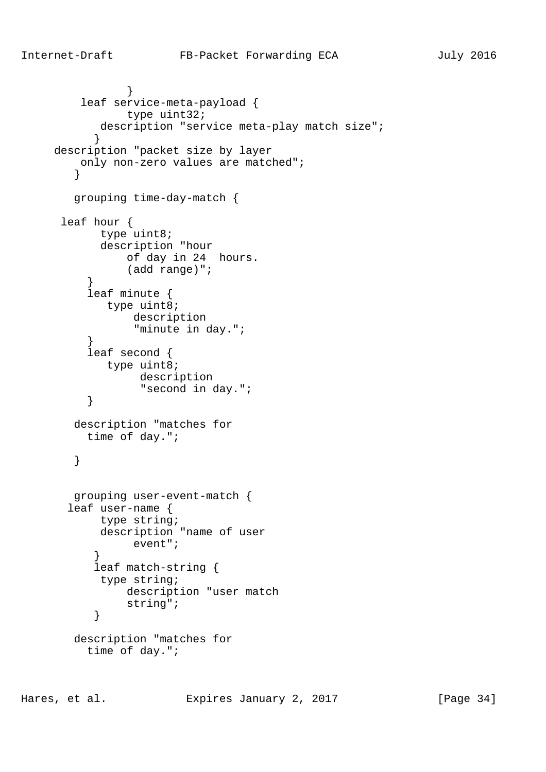```
 }
         leaf service-meta-payload {
               type uint32;
          description "service meta-play match size";
 }
     description "packet size by layer
        only non-zero values are matched";
 }
        grouping time-day-match {
      leaf hour {
           type uint8;
           description "hour
              of day in 24 hours.
               (add range)";
 }
          leaf minute {
           type uint8;
                description
                "minute in day.";
 }
          leaf second {
           type uint8;
                description
         "second in day.";<br>}
 }
        description "matches for
          time of day.";
        }
        grouping user-event-match {
       leaf user-name {
           type string;
           description "name of user
                event";
 }
           leaf match-string {
           type string;
               description "user match
               string";
 }
        description "matches for
          time of day.";
```
Hares, et al. Expires January 2, 2017 [Page 34]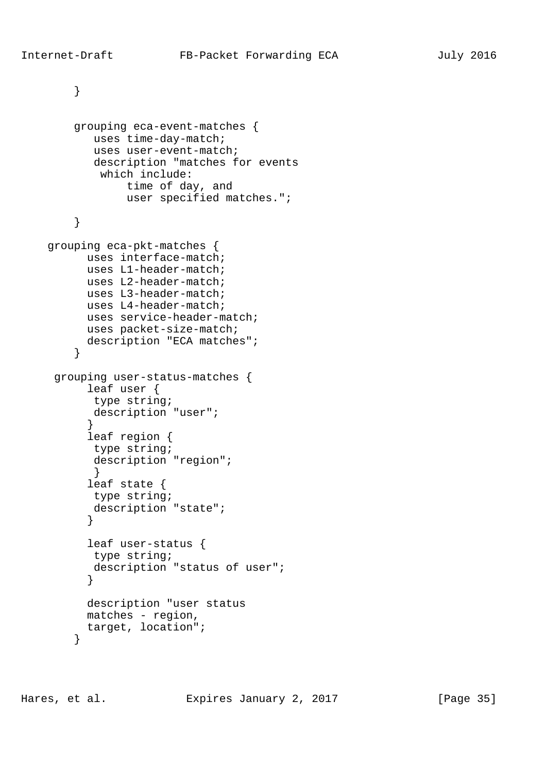} grouping eca-event-matches { uses time-day-match; uses user-event-match; description "matches for events which include: time of day, and user specified matches."; } grouping eca-pkt-matches { uses interface-match; uses L1-header-match; uses L2-header-match; uses L3-header-match; uses L4-header-match; uses service-header-match; uses packet-size-match; description "ECA matches"; } grouping user-status-matches { leaf user { type string; description "user"; } leaf region { type string; description "region"; } leaf state { type string; description "state"; } leaf user-status { type string; description "status of user"; } description "user status matches - region, target, location"; }

Hares, et al. Expires January 2, 2017 [Page 35]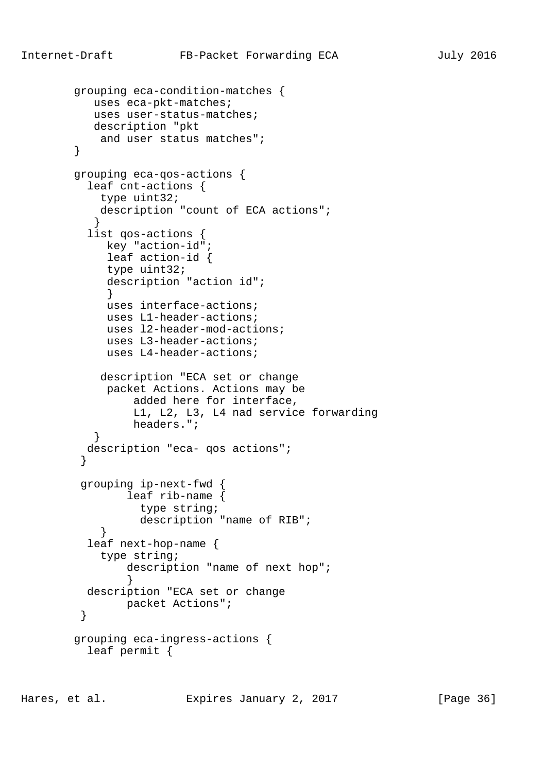```
 grouping eca-condition-matches {
           uses eca-pkt-matches;
           uses user-status-matches;
           description "pkt
            and user status matches";
        }
        grouping eca-qos-actions {
          leaf cnt-actions {
            type uint32;
            description "count of ECA actions";
 }
          list qos-actions {
             key "action-id";
             leaf action-id {
             type uint32;
             description "action id";
 }
             uses interface-actions;
             uses L1-header-actions;
             uses l2-header-mod-actions;
             uses L3-header-actions;
             uses L4-header-actions;
            description "ECA set or change
             packet Actions. Actions may be
                 added here for interface,
                 L1, L2, L3, L4 nad service forwarding
                 headers.";
 }
          description "eca- qos actions";
 }
         grouping ip-next-fwd {
                leaf rib-name {
                  type string;
                  description "name of RIB";
 }
          leaf next-hop-name {
            type string;
                description "name of next hop";
 }
          description "ECA set or change
                packet Actions";
 }
        grouping eca-ingress-actions {
          leaf permit {
```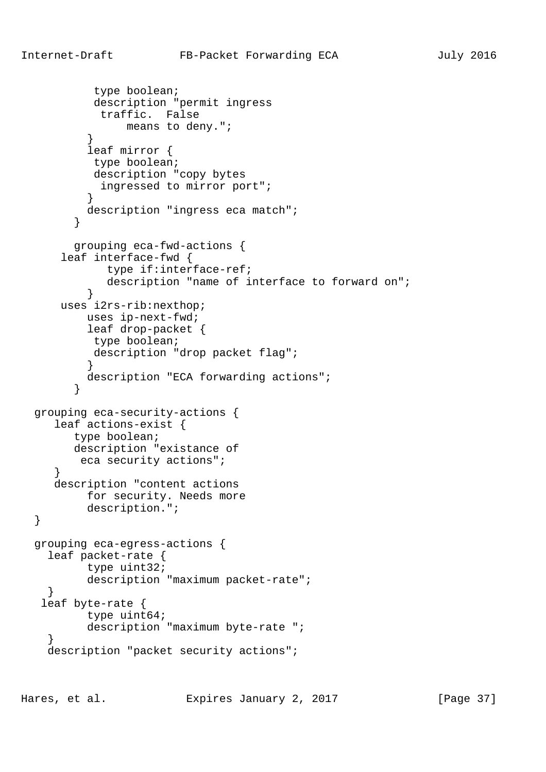```
 type boolean;
           description "permit ingress
            traffic. False
                means to deny.";
 }
           leaf mirror {
           type boolean;
           description "copy bytes
            ingressed to mirror port";
 }
          description "ingress eca match";
 }
        grouping eca-fwd-actions {
      leaf interface-fwd {
             type if:interface-ref;
             description "name of interface to forward on";
 }
      uses i2rs-rib:nexthop;
          uses ip-next-fwd;
          leaf drop-packet {
           type boolean;
           description "drop packet flag";
 }
          description "ECA forwarding actions";
         }
  grouping eca-security-actions {
      leaf actions-exist {
        type boolean;
        description "existance of
        eca security actions";
      }
     description "content actions
          for security. Needs more
          description.";
  }
  grouping eca-egress-actions {
    leaf packet-rate {
          type uint32;
          description "maximum packet-rate";
    }
   leaf byte-rate {
           type uint64;
          description "maximum byte-rate ";
 }
   description "packet security actions";
```
Hares, et al. Expires January 2, 2017 [Page 37]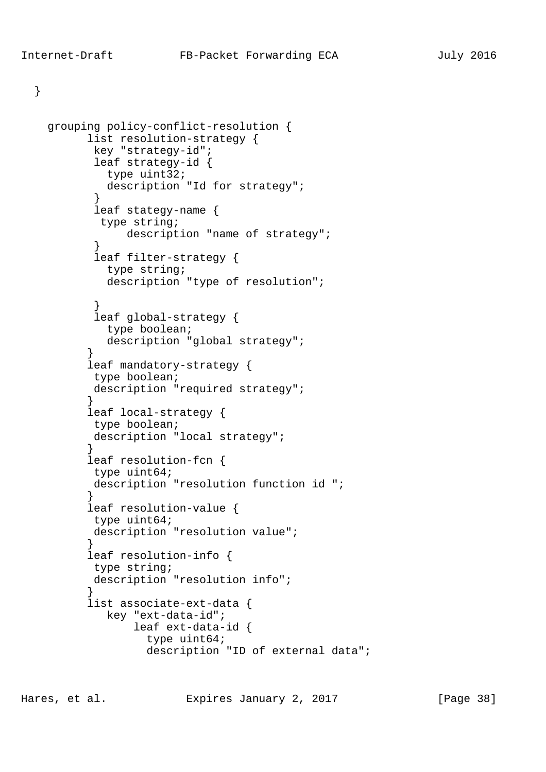}

```
 grouping policy-conflict-resolution {
          list resolution-strategy {
           key "strategy-id";
           leaf strategy-id {
             type uint32;
             description "Id for strategy";
 }
           leaf stategy-name {
            type string;
                description "name of strategy";
 }
           leaf filter-strategy {
             type string;
             description "type of resolution";
 }
           leaf global-strategy {
             type boolean;
             description "global strategy";
 }
          leaf mandatory-strategy {
           type boolean;
          description "required strategy";
 }
          leaf local-strategy {
           type boolean;
           description "local strategy";
 }
          leaf resolution-fcn {
           type uint64;
           description "resolution function id ";
 }
          leaf resolution-value {
           type uint64;
           description "resolution value";
 }
          leaf resolution-info {
           type string;
          description "resolution info";
 }
          list associate-ext-data {
             key "ext-data-id";
                 leaf ext-data-id {
                   type uint64;
                   description "ID of external data";
```
Hares, et al. Expires January 2, 2017 [Page 38]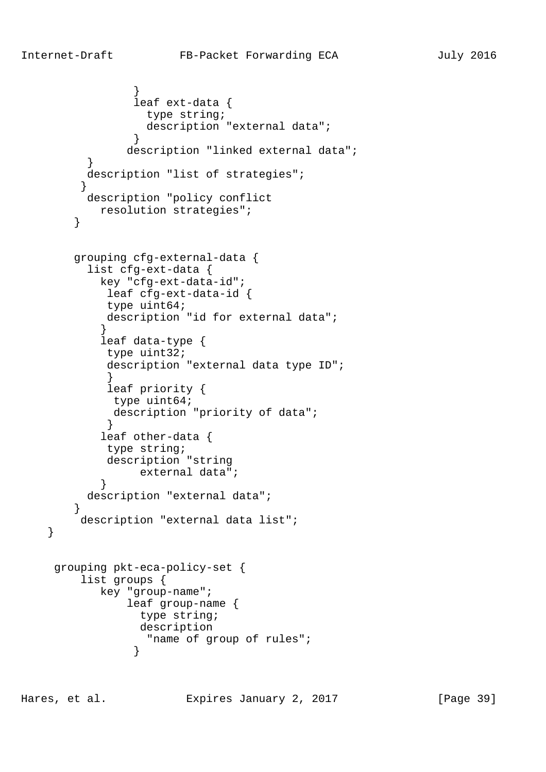```
 }
                leaf ext-data {
                  type string;
                  description "external data";
 }
               description "linked external data";
 }
          description "list of strategies";
 }
          description "policy conflict
           resolution strategies";
        }
        grouping cfg-external-data {
          list cfg-ext-data {
            key "cfg-ext-data-id";
            leaf cfg-ext-data-id {
            type uint64;
            description "id for external data";
 }
            leaf data-type {
            type uint32;
            description "external data type ID";
 }
            leaf priority {
             type uint64;
             description "priority of data";
            }
            leaf other-data {
            type string;
            description "string
                 external data";
 }
          description "external data";
 }
         description "external data list";
     grouping pkt-eca-policy-set {
         list groups {
            key "group-name";
                leaf group-name {
                 type string;
                 description
                  "name of group of rules";
 }
```
}

Hares, et al. Expires January 2, 2017 [Page 39]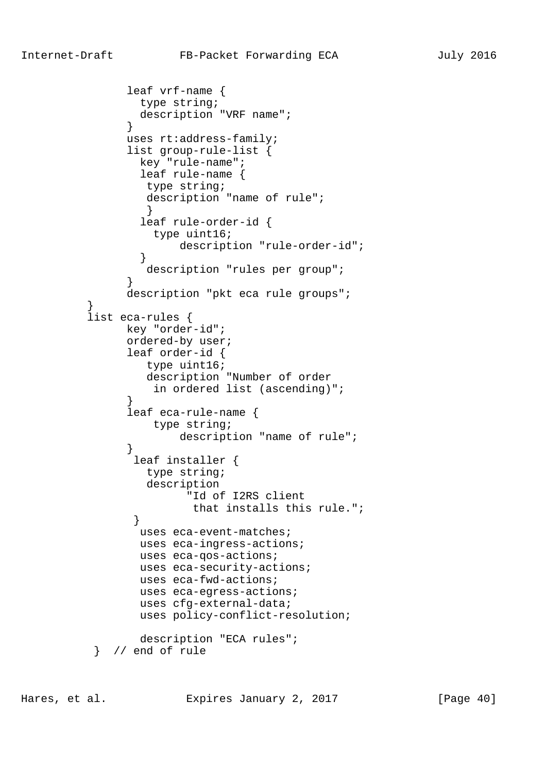```
 leaf vrf-name {
                 type string;
                 description "VRF name";
 }
               uses rt:address-family;
                list group-rule-list {
                 key "rule-name";
                 leaf rule-name {
                  type string;
                  description "name of rule";
 }
                 leaf rule-order-id {
                  type uint16;
                       description "rule-order-id";
 }
                  description "rules per group";
 }
               description "pkt eca rule groups";
 }
          list eca-rules {
               key "order-id";
               ordered-by user;
                leaf order-id {
                  type uint16;
                  description "Number of order
               in ordered list (ascending)";<br>}
 }
                leaf eca-rule-name {
                   type string;
                       description "name of rule";
 }
                leaf installer {
                  type string;
                  description
                        "Id of I2RS client
                        that installs this rule.";
 }
                 uses eca-event-matches;
                 uses eca-ingress-actions;
                 uses eca-qos-actions;
                 uses eca-security-actions;
                 uses eca-fwd-actions;
                 uses eca-egress-actions;
                 uses cfg-external-data;
                 uses policy-conflict-resolution;
                 description "ECA rules";
           } // end of rule
```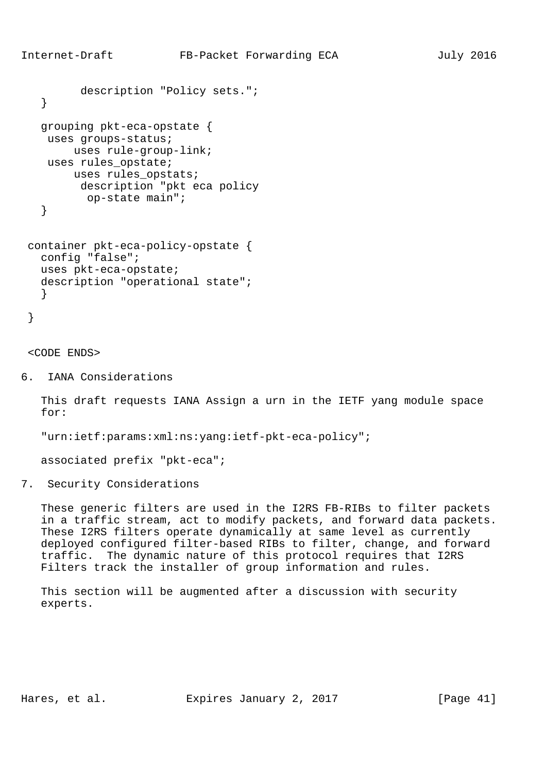```
 description "Policy sets.";
   }
   grouping pkt-eca-opstate {
   uses groups-status;
       uses rule-group-link;
   uses rules_opstate;
       uses rules_opstats;
        description "pkt eca policy
         op-state main";
   }
 container pkt-eca-policy-opstate {
   config "false";
```

```
 uses pkt-eca-opstate;
 description "operational state";
 }
```

```
 }
```
<CODE ENDS>

6. IANA Considerations

 This draft requests IANA Assign a urn in the IETF yang module space for:

"urn:ietf:params:xml:ns:yang:ietf-pkt-eca-policy";

associated prefix "pkt-eca";

7. Security Considerations

 These generic filters are used in the I2RS FB-RIBs to filter packets in a traffic stream, act to modify packets, and forward data packets. These I2RS filters operate dynamically at same level as currently deployed configured filter-based RIBs to filter, change, and forward traffic. The dynamic nature of this protocol requires that I2RS Filters track the installer of group information and rules.

 This section will be augmented after a discussion with security experts.

Hares, et al. Expires January 2, 2017 [Page 41]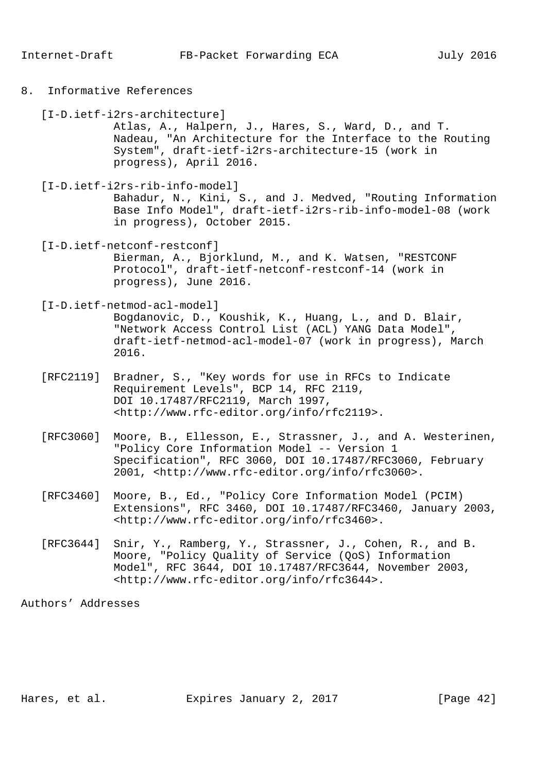8. Informative References

[I-D.ietf-i2rs-architecture]

 Atlas, A., Halpern, J., Hares, S., Ward, D., and T. Nadeau, "An Architecture for the Interface to the Routing System", draft-ietf-i2rs-architecture-15 (work in progress), April 2016.

[I-D.ietf-i2rs-rib-info-model]

 Bahadur, N., Kini, S., and J. Medved, "Routing Information Base Info Model", draft-ietf-i2rs-rib-info-model-08 (work in progress), October 2015.

[I-D.ietf-netconf-restconf]

 Bierman, A., Bjorklund, M., and K. Watsen, "RESTCONF Protocol", draft-ietf-netconf-restconf-14 (work in progress), June 2016.

[I-D.ietf-netmod-acl-model]

 Bogdanovic, D., Koushik, K., Huang, L., and D. Blair, "Network Access Control List (ACL) YANG Data Model", draft-ietf-netmod-acl-model-07 (work in progress), March 2016.

- [RFC2119] Bradner, S., "Key words for use in RFCs to Indicate Requirement Levels", BCP 14, RFC 2119, DOI 10.17487/RFC2119, March 1997, <http://www.rfc-editor.org/info/rfc2119>.
- [RFC3060] Moore, B., Ellesson, E., Strassner, J., and A. Westerinen, "Policy Core Information Model -- Version 1 Specification", RFC 3060, DOI 10.17487/RFC3060, February 2001, <http://www.rfc-editor.org/info/rfc3060>.
- [RFC3460] Moore, B., Ed., "Policy Core Information Model (PCIM) Extensions", RFC 3460, DOI 10.17487/RFC3460, January 2003, <http://www.rfc-editor.org/info/rfc3460>.
- [RFC3644] Snir, Y., Ramberg, Y., Strassner, J., Cohen, R., and B. Moore, "Policy Quality of Service (QoS) Information Model", RFC 3644, DOI 10.17487/RFC3644, November 2003, <http://www.rfc-editor.org/info/rfc3644>.

Authors' Addresses

Hares, et al. Expires January 2, 2017 [Page 42]